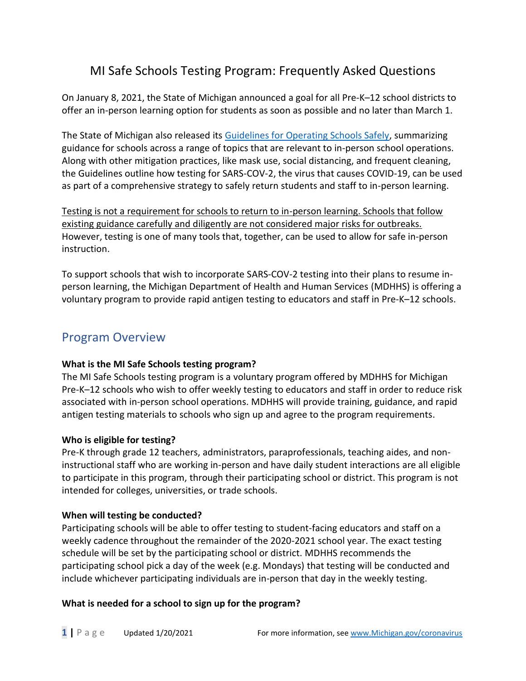# MI Safe Schools Testing Program: Frequently Asked Questions

On January 8, 2021, the State of Michigan announced a goal for all Pre-K–12 school districts to offer an in-person learning option for students as soon as possible and no later than March 1.

The State of Michigan also released its [Guidelines for Operating Schools Safely,](https://www.michigan.gov/documents/coronavirus/SCHOOLS_GUIDANCE_V3_712458_7.pdf) summarizing guidance for schools across a range of topics that are relevant to in-person school operations. Along with other mitigation practices, like mask use, social distancing, and frequent cleaning, the Guidelines outline how testing for SARS-COV-2, the virus that causes COVID-19, can be used as part of a comprehensive strategy to safely return students and staff to in-person learning.

Testing is not a requirement for schools to return to in-person learning. Schools that follow existing guidance carefully and diligently are not considered major risks for outbreaks. However, testing is one of many tools that, together, can be used to allow for safe in-person instruction.

To support schools that wish to incorporate SARS-COV-2 testing into their plans to resume inperson learning, the Michigan Department of Health and Human Services (MDHHS) is offering a voluntary program to provide rapid antigen testing to educators and staff in Pre-K–12 schools.

# Program Overview

### **What is the MI Safe Schools testing program?**

The MI Safe Schools testing program is a voluntary program offered by MDHHS for Michigan Pre-K–12 schools who wish to offer weekly testing to educators and staff in order to reduce risk associated with in-person school operations. MDHHS will provide training, guidance, and rapid antigen testing materials to schools who sign up and agree to the program requirements.

### **Who is eligible for testing?**

Pre-K through grade 12 teachers, administrators, paraprofessionals, teaching aides, and noninstructional staff who are working in-person and have daily student interactions are all eligible to participate in this program, through their participating school or district. This program is not intended for colleges, universities, or trade schools.

### **When will testing be conducted?**

Participating schools will be able to offer testing to student-facing educators and staff on a weekly cadence throughout the remainder of the 2020-2021 school year. The exact testing schedule will be set by the participating school or district. MDHHS recommends the participating school pick a day of the week (e.g. Mondays) that testing will be conducted and include whichever participating individuals are in-person that day in the weekly testing.

### **What is needed for a school to sign up for the program?**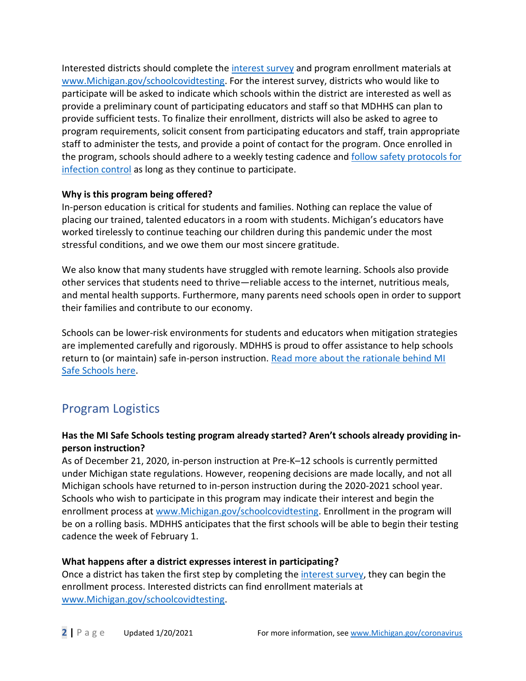Interested districts should complete the [interest](https://forms.office.com/Pages/ResponsePage.aspx?id=h3D71Xc3rUKWaoku9HIl0fZMC6TV7itDmHE68fvBLOJUQ1pSUDBQT0tTSE5VSTdQVTFCT0lVNlhROS4u) survey and program enrollment materials at [www.Michigan.gov/schoolcovidtesting.](http://www.michigan.gov/schoolcovidtesting) For the interest survey, districts who would like to participate will be asked to indicate which schools within the district are interested as well as provide a preliminary count of participating educators and staff so that MDHHS can plan to provide sufficient tests. To finalize their enrollment, districts will also be asked to agree to program requirements, solicit consent from participating educators and staff, train appropriate staff to administer the tests, and provide a point of contact for the program. Once enrolled in the program, schools should adhere to a weekly testing cadence and [follow safety protocols](https://www.michigan.gov/documents/coronavirus/SCHOOLS_GUIDANCE_V3_712458_7.pdf) for [infection control](https://www.michigan.gov/documents/coronavirus/SCHOOLS_GUIDANCE_V3_712458_7.pdf) as long as they continue to participate.

### **Why is this program being offered?**

In-person education is critical for students and families. Nothing can replace the value of placing our trained, talented educators in a room with students. Michigan's educators have worked tirelessly to continue teaching our children during this pandemic under the most stressful conditions, and we owe them our most sincere gratitude.

We also know that many students have struggled with remote learning. Schools also provide other services that students need to thrive—reliable access to the internet, nutritious meals, and mental health supports. Furthermore, many parents need schools open in order to support their families and contribute to our economy.

Schools can be lower-risk environments for students and educators when mitigation strategies are implemented carefully and rigorously. MDHHS is proud to offer assistance to help schools return to (or maintain) safe in-person instruction. [Read more about the rationale behind MI](https://www.michigan.gov/documents/coronavirus/MI_SAFE_SCHOOLS_RATIONALE_712473_7.pdf)  [Safe Schools here.](https://www.michigan.gov/documents/coronavirus/MI_SAFE_SCHOOLS_RATIONALE_712473_7.pdf)

# Program Logistics

### **Has the MI Safe Schools testing program already started? Aren't schools already providing inperson instruction?**

As of December 21, 2020, in-person instruction at Pre-K–12 schools is currently permitted under Michigan state regulations. However, reopening decisions are made locally, and not all Michigan schools have returned to in-person instruction during the 2020-2021 school year. Schools who wish to participate in this program may indicate their interest and begin the enrollment process at [www.Michigan.gov/schoolcovidtesting.](http://www.michigan.gov/schoolcovidtesting) Enrollment in the program will be on a rolling basis. MDHHS anticipates that the first schools will be able to begin their testing cadence the week of February 1.

### **What happens after a district expresses interest in participating?**

Once a district has taken the first step by completing the [interest survey,](https://forms.office.com/Pages/ResponsePage.aspx?id=h3D71Xc3rUKWaoku9HIl0fZMC6TV7itDmHE68fvBLOJUQ1pSUDBQT0tTSE5VSTdQVTFCT0lVNlhROS4u) they can begin the enrollment process. Interested districts can find enrollment materials at [www.Michigan.gov/schoolcovidtesting.](http://www.michigan.gov/schoolcovidtesting)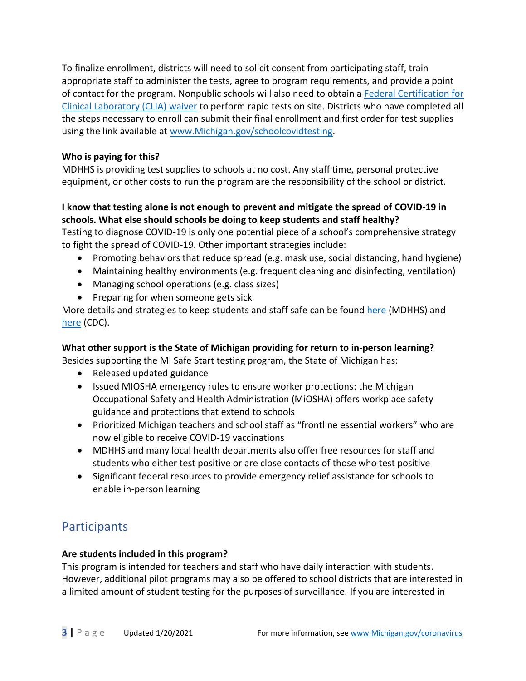To finalize enrollment, districts will need to solicit consent from participating staff, train appropriate staff to administer the tests, agree to program requirements, and provide a point of contact for the program. Nonpublic schools will also need to obtain a [Federal Certification for](https://www.michigan.gov/lara/0,4601,7-154-89334_63294_72971_78688---,00.html)  [Clinical Laboratory \(CLIA\)](https://www.michigan.gov/lara/0,4601,7-154-89334_63294_72971_78688---,00.html) waiver to perform rapid tests on site. Districts who have completed all the steps necessary to enroll can submit their final enrollment and first order for test supplies using the link available at [www.Michigan.gov/schoolcovidtesting.](http://www.michigan.gov/schoolcovidtesting)

### **Who is paying for this?**

MDHHS is providing test supplies to schools at no cost. Any staff time, personal protective equipment, or other costs to run the program are the responsibility of the school or district.

### **I know that testing alone is not enough to prevent and mitigate the spread of COVID-19 in schools. What else should schools be doing to keep students and staff healthy?**

Testing to diagnose COVID-19 is only one potential piece of a school's comprehensive strategy to fight the spread of COVID-19. Other important strategies include:

- Promoting behaviors that reduce spread (e.g. mask use, social distancing, hand hygiene)
- Maintaining healthy environments (e.g. frequent cleaning and disinfecting, ventilation)
- Managing school operations (e.g. class sizes)
- Preparing for when someone gets sick

More details and strategies to keep students and staff safe can be found [here](https://www.michigan.gov/documents/coronavirus/SCHOOLS_GUIDANCE_V3_712458_7.pdf) (MDHHS) and [here](https://www.cdc.gov/coronavirus/2019-ncov/community/schools-childcare/index.html) (CDC).

## **What other support is the State of Michigan providing for return to in-person learning?**

Besides supporting the MI Safe Start testing program, the State of Michigan has:

- Released updated guidance
- Issued MIOSHA emergency rules to ensure worker protections: the Michigan Occupational Safety and Health Administration (MiOSHA) offers workplace safety guidance and protections that extend to schools
- Prioritized Michigan teachers and school staff as "frontline essential workers" who are now eligible to receive COVID-19 vaccinations
- MDHHS and many local health departments also offer free resources for staff and students who either test positive or are close contacts of those who test positive
- Significant federal resources to provide emergency relief assistance for schools to enable in-person learning

# Participants

### **Are students included in this program?**

This program is intended for teachers and staff who have daily interaction with students. However, additional pilot programs may also be offered to school districts that are interested in a limited amount of student testing for the purposes of surveillance. If you are interested in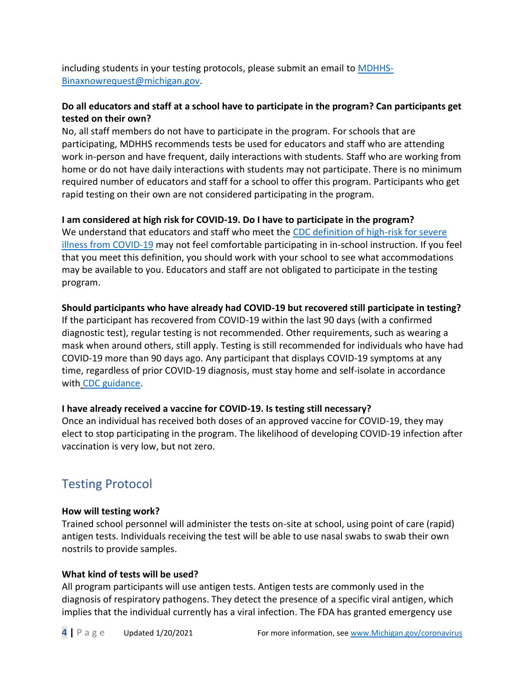including students in your testing protocols, please submit an email to [MDHHS-](mailto:MDHHS-Binaxnowrequest@michigan.gov)[Binaxnowrequest@michigan.gov.](mailto:MDHHS-Binaxnowrequest@michigan.gov)

### **Do all educators and staff at a school have to participate in the program? Can participants get tested on their own?**

No, all staff members do not have to participate in the program. For schools that are participating, MDHHS recommends tests be used for educators and staff who are attending work in-person and have frequent, daily interactions with students. Staff who are working from home or do not have daily interactions with students may not participate. There is no minimum required number of educators and staff for a school to offer this program. Participants who get rapid testing on their own are not considered participating in the program.

### **I am considered at high risk for COVID-19. Do I have to participate in the program?**

We understand that educators and staff who meet the [CDC definition of high-risk for severe](https://www.cdc.gov/coronavirus/2019-ncov/need-extra-precautions/index.html)  [illness from COVID-19](https://www.cdc.gov/coronavirus/2019-ncov/need-extra-precautions/index.html) may not feel comfortable participating in in-school instruction. If you feel that you meet this definition, you should work with your school to see what accommodations may be available to you. Educators and staff are not obligated to participate in the testing program.

### **Should participants who have already had COVID-19 but recovered still participate in testing?**

If the participant has recovered from COVID-19 within the last 90 days (with a confirmed diagnostic test), regular testing is not recommended. Other requirements, such as wearing a mask when around others, still apply. Testing is still recommended for individuals who have had COVID-19 more than 90 days ago. Any participant that displays COVID-19 symptoms at any time, regardless of prior COVID-19 diagnosis, must stay home and self-isolate in accordance with [CDC guidance.](https://www.cdc.gov/coronavirus/2019-ncov/if-you-are-sick/isolation.html)

### **I have already received a vaccine for COVID-19. Is testing still necessary?**

Once an individual has received both doses of an approved vaccine for COVID-19, they may elect to stop participating in the program. The likelihood of developing COVID-19 infection after vaccination is very low, but not zero.

# Testing Protocol

### **How will testing work?**

Trained school personnel will administer the tests on-site at school, using point of care (rapid) antigen tests. Individuals receiving the test will be able to use nasal swabs to swab their own nostrils to provide samples.

### **What kind of tests will be used?**

All program participants will use antigen tests. Antigen tests are commonly used in the diagnosis of respiratory pathogens. They detect the presence of a specific viral antigen, which implies that the individual currently has a viral infection. The FDA has granted emergency use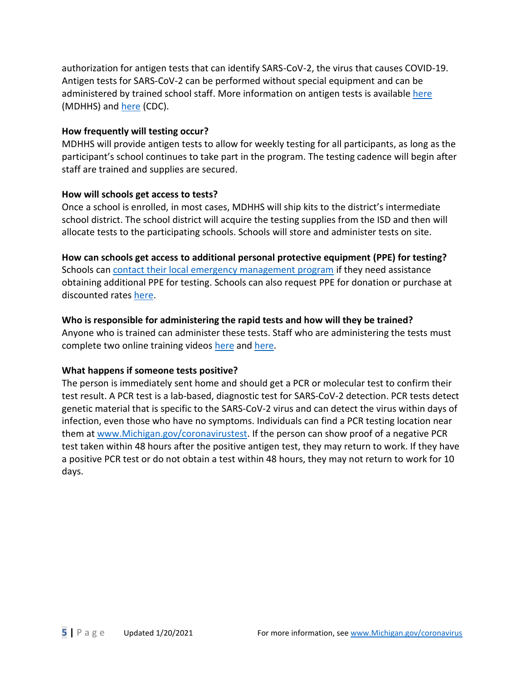authorization for antigen tests that can identify SARS-CoV-2, the virus that causes COVID-19. Antigen tests for SARS-CoV-2 can be performed without special equipment and can be administered by trained school staff. More information on antigen tests is availabl[e here](https://www.michigan.gov/documents/coronavirus/BinaxNOW_FAQ_706167_7.pdf) (MDHHS) and [here](https://www.cdc.gov/coronavirus/2019-ncov/lab/resources/antigen-tests-guidelines.html) (CDC).

#### **How frequently will testing occur?**

MDHHS will provide antigen tests to allow for weekly testing for all participants, as long as the participant's school continues to take part in the program. The testing cadence will begin after staff are trained and supplies are secured.

#### **How will schools get access to tests?**

Once a school is enrolled, in most cases, MDHHS will ship kits to the district's intermediate school district. The school district will acquire the testing supplies from the ISD and then will allocate tests to the participating schools. Schools will store and administer tests on site.

**How can schools get access to additional personal protective equipment (PPE) for testing?** Schools can [contact their local emergency management program](https://www.michigan.gov/msp/0,4643,7-123-72297_60152_66814---,00.html) if they need assistance obtaining additional PPE for testing. Schools can also request PPE for donation or purchase at discounted rates [here.](https://getusppe.org/donate/ppe-for-schools/)

### **Who is responsible for administering the rapid tests and how will they be trained?**  Anyone who is trained can administer these tests. Staff who are administering the tests must complete two online training videos [here](https://protect2.fireeye.com/url?k=51957f44-0dc16638-51954e7b-0cc47adc5fa2-bae30a3fffdcb4d7&u=https://www.globalpointofcare.abbott/en/support/product-installation-training/navica-brand/navica-binaxnow-ag-training.html) and [here.](https://www.youtube.com/watch?v=sLWPhh4gZTE&feature=youtu.be)

### **What happens if someone tests positive?**

The person is immediately sent home and should get a PCR or molecular test to confirm their test result. A PCR test is a lab-based, diagnostic test for SARS-CoV-2 detection. PCR tests detect genetic material that is specific to the SARS-CoV-2 virus and can detect the virus within days of infection, even those who have no symptoms. Individuals can find a PCR testing location near them at [www.Michigan.gov/coronavirustest.](http://www.michigan.gov/coronavirustest) If the person can show proof of a negative PCR test taken within 48 hours after the positive antigen test, they may return to work. If they have a positive PCR test or do not obtain a test within 48 hours, they may not return to work for 10 days.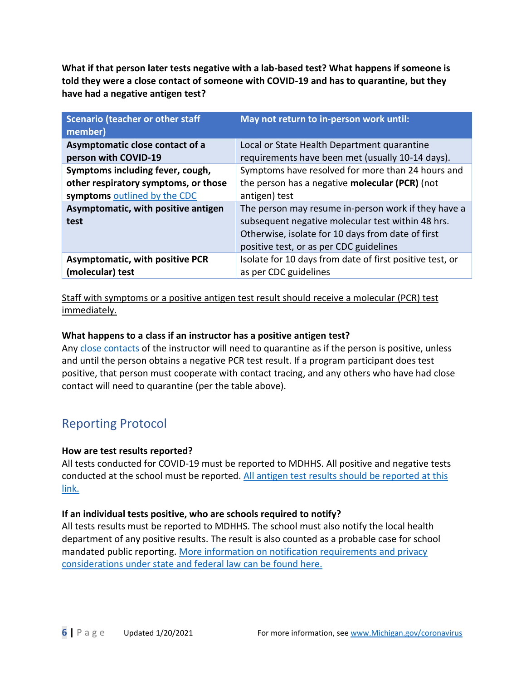**What if that person later tests negative with a lab-based test? What happens if someone is told they were a close contact of someone with COVID-19 and has to quarantine, but they have had a negative antigen test?** 

| <b>Scenario (teacher or other staff</b><br>member) | May not return to in-person work until:                                                                                                                                                                  |
|----------------------------------------------------|----------------------------------------------------------------------------------------------------------------------------------------------------------------------------------------------------------|
| Asymptomatic close contact of a                    | Local or State Health Department quarantine                                                                                                                                                              |
| person with COVID-19                               | requirements have been met (usually 10-14 days).                                                                                                                                                         |
| Symptoms including fever, cough,                   | Symptoms have resolved for more than 24 hours and                                                                                                                                                        |
| other respiratory symptoms, or those               | the person has a negative <b>molecular (PCR)</b> (not                                                                                                                                                    |
| symptoms outlined by the CDC                       | antigen) test                                                                                                                                                                                            |
| Asymptomatic, with positive antigen<br>test        | The person may resume in-person work if they have a<br>subsequent negative molecular test within 48 hrs.<br>Otherwise, isolate for 10 days from date of first<br>positive test, or as per CDC guidelines |
| <b>Asymptomatic, with positive PCR</b>             | Isolate for 10 days from date of first positive test, or                                                                                                                                                 |
| (molecular) test                                   | as per CDC guidelines                                                                                                                                                                                    |

Staff with symptoms or a positive antigen test result should receive a molecular (PCR) test immediately.

### **What happens to a class if an instructor has a positive antigen test?**

Any [close contacts](https://www.cdc.gov/coronavirus/2019-ncov/php/contact-tracing/contact-tracing-plan/appendix.html#contact) of the instructor will need to quarantine as if the person is positive, unless and until the person obtains a negative PCR test result. If a program participant does test positive, that person must cooperate with contact tracing, and any others who have had close contact will need to quarantine (per the table above).

# Reporting Protocol

### **How are test results reported?**

All tests conducted for COVID-19 must be reported to MDHHS. All positive and negative tests conducted at the school must be reported. All antigen test [results should be reported](https://newmibridges.michigan.gov/s/isd-antigen-testing-results?language=en_US) at this [link.](https://newmibridges.michigan.gov/s/isd-antigen-testing-results?language=en_US)

### **If an individual tests positive, who are schools required to notify?**

All tests results must be reported to MDHHS. The school must also notify the local health department of any positive results. The result is also counted as a probable case for school mandated public reporting. [More information on notification requirements and privacy](https://www.michigan.gov/documents/mdhhs/Disclosure_of_PHI_for_Disease_prevention_-_COVID_update_-_Final_703054_7.pdf)  [considerations under state and federal law can be found here.](https://www.michigan.gov/documents/mdhhs/Disclosure_of_PHI_for_Disease_prevention_-_COVID_update_-_Final_703054_7.pdf)